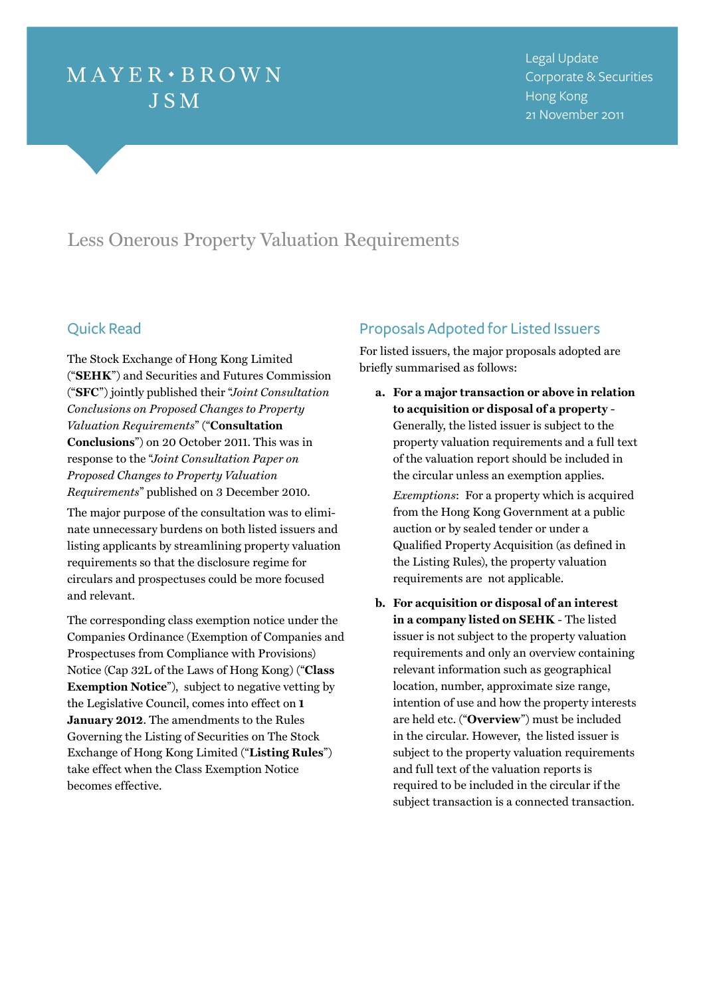# $MAYER \cdot BROWN$ **JSM**

# Less Onerous Property Valuation Requirements

## Quick Read

The Stock Exchange of Hong Kong Limited ("**SEHK**") and Securities and Futures Commission ("**SFC**") jointly published their "*Joint Consultation Conclusions on Proposed Changes to Property Valuation Requirements*" ("**Consultation Conclusions**") on 20 October 2011. This was in response to the "*Joint Consultation Paper on Proposed Changes to Property Valuation Requirements*" published on 3 December 2010.

The major purpose of the consultation was to eliminate unnecessary burdens on both listed issuers and listing applicants by streamlining property valuation requirements so that the disclosure regime for circulars and prospectuses could be more focused and relevant.

The corresponding class exemption notice under the Companies Ordinance (Exemption of Companies and Prospectuses from Compliance with Provisions) Notice (Cap 32L of the Laws of Hong Kong) ("**Class Exemption Notice**"), subject to negative vetting by the Legislative Council, comes into effect on **1 January 2012**. The amendments to the Rules Governing the Listing of Securities on The Stock Exchange of Hong Kong Limited ("**Listing Rules**") take effect when the Class Exemption Notice becomes effective.

## Proposals Adpoted for Listed Issuers

For listed issuers, the major proposals adopted are briefly summarised as follows:

**a. For a major transaction or above in relation to acquisition or disposal of a property** - Generally, the listed issuer is subject to the property valuation requirements and a full text of the valuation report should be included in the circular unless an exemption applies.

*Exemptions*: For a property which is acquired from the Hong Kong Government at a public auction or by sealed tender or under a Qualified Property Acquisition (as defined in the Listing Rules), the property valuation requirements are not applicable.

**b. For acquisition or disposal of an interest in a company listed on SEHK** - The listed issuer is not subject to the property valuation requirements and only an overview containing relevant information such as geographical location, number, approximate size range, intention of use and how the property interests are held etc. ("**Overview**") must be included in the circular. However, the listed issuer is subject to the property valuation requirements and full text of the valuation reports is required to be included in the circular if the subject transaction is a connected transaction.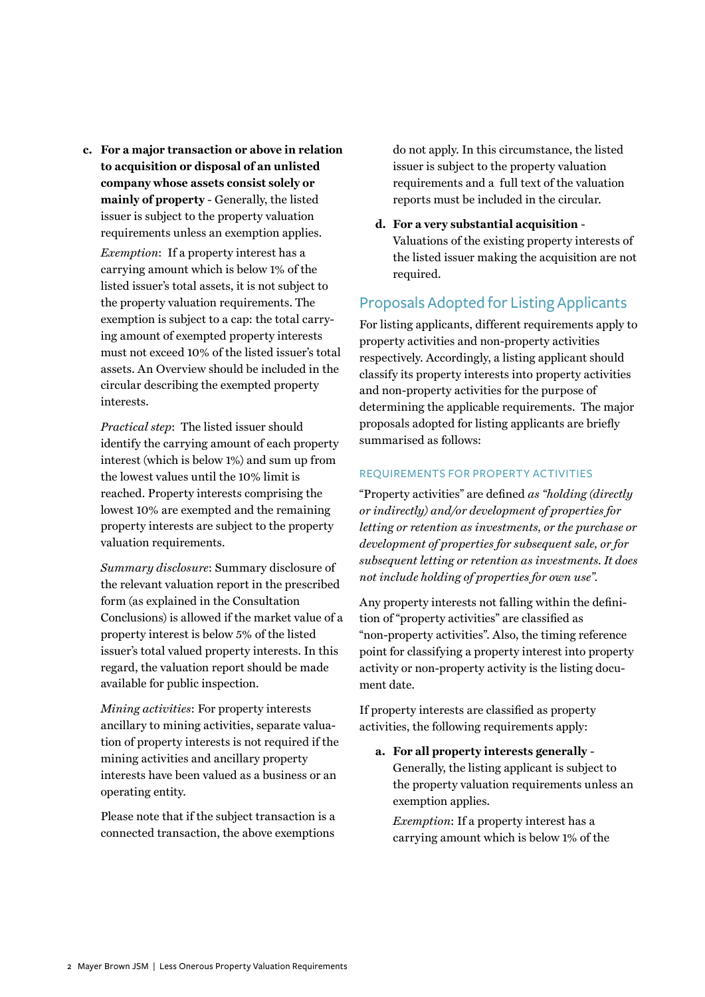**c. For a major transaction or above in relation to acquisition or disposal of an unlisted company whose assets consist solely or mainly of property** - Generally, the listed issuer is subject to the property valuation requirements unless an exemption applies. *Exemption*: If a property interest has a carrying amount which is below 1% of the listed issuer's total assets, it is not subject to the property valuation requirements. The exemption is subject to a cap: the total carrying amount of exempted property interests must not exceed 10% of the listed issuer's total assets. An Overview should be included in the circular describing the exempted property interests.

*Practical step*: The listed issuer should identify the carrying amount of each property interest (which is below 1%) and sum up from the lowest values until the 10% limit is reached. Property interests comprising the lowest 10% are exempted and the remaining property interests are subject to the property valuation requirements.

*Summary disclosure*: Summary disclosure of the relevant valuation report in the prescribed form (as explained in the Consultation Conclusions) is allowed if the market value of a property interest is below 5% of the listed issuer's total valued property interests. In this regard, the valuation report should be made available for public inspection.

*Mining activities*: For property interests ancillary to mining activities, separate valuation of property interests is not required if the mining activities and ancillary property interests have been valued as a business or an operating entity.

Please note that if the subject transaction is a connected transaction, the above exemptions

do not apply. In this circumstance, the listed issuer is subject to the property valuation requirements and a full text of the valuation reports must be included in the circular.

**d. For a very substantial acquisition** - Valuations of the existing property interests of the listed issuer making the acquisition are not required.

## Proposals Adopted for Listing Applicants

For listing applicants, different requirements apply to property activities and non-property activities respectively. Accordingly, a listing applicant should classify its property interests into property activities and non-property activities for the purpose of determining the applicable requirements. The major proposals adopted for listing applicants are briefly summarised as follows:

### REQUIREMENTS FOR PROPERTY ACTIVITIES

"Property activities" are defined *as "holding (directly or indirectly) and/or development of properties for letting or retention as investments, or the purchase or development of properties for subsequent sale, or for subsequent letting or retention as investments. It does not include holding of properties for own use".* 

Any property interests not falling within the definition of "property activities" are classified as "non-property activities". Also, the timing reference point for classifying a property interest into property activity or non-property activity is the listing document date.

If property interests are classified as property activities, the following requirements apply:

**a. For all property interests generally** - Generally, the listing applicant is subject to the property valuation requirements unless an exemption applies.

*Exemption*: If a property interest has a carrying amount which is below 1% of the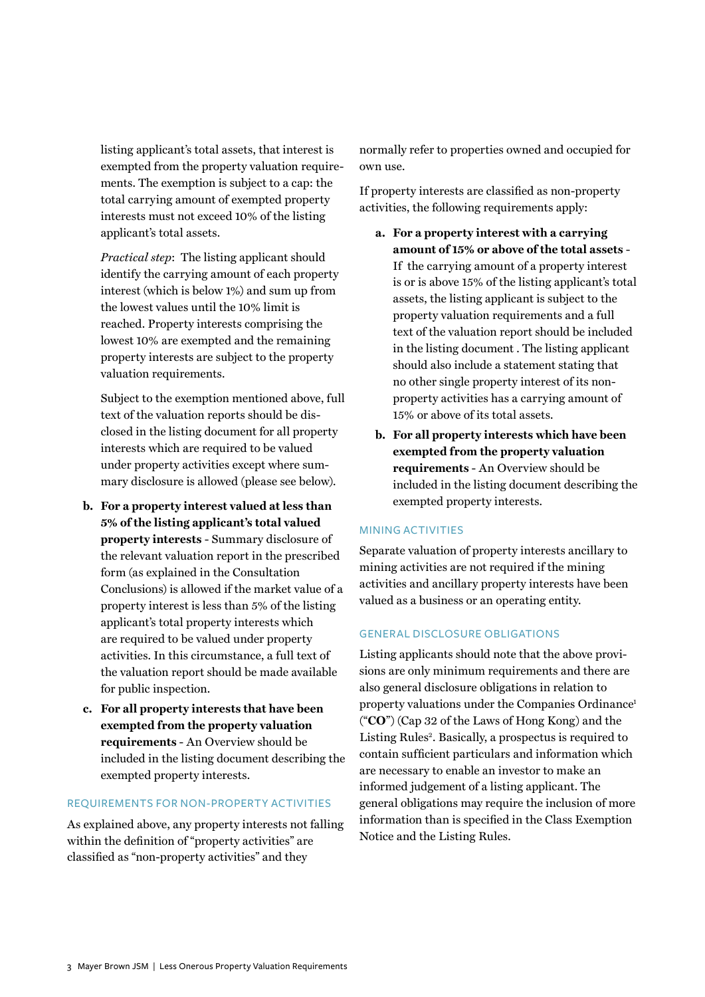listing applicant's total assets, that interest is exempted from the property valuation requirements. The exemption is subject to a cap: the total carrying amount of exempted property interests must not exceed 10% of the listing applicant's total assets.

*Practical step*: The listing applicant should identify the carrying amount of each property interest (which is below 1%) and sum up from the lowest values until the 10% limit is reached. Property interests comprising the lowest 10% are exempted and the remaining property interests are subject to the property valuation requirements.

Subject to the exemption mentioned above, full text of the valuation reports should be disclosed in the listing document for all property interests which are required to be valued under property activities except where summary disclosure is allowed (please see below).

- **b. For a property interest valued at less than 5% of the listing applicant's total valued property interests** - Summary disclosure of the relevant valuation report in the prescribed form (as explained in the Consultation Conclusions) is allowed if the market value of a property interest is less than 5% of the listing applicant's total property interests which are required to be valued under property activities. In this circumstance, a full text of the valuation report should be made available for public inspection.
- **c. For all property interests that have been exempted from the property valuation requirements** - An Overview should be included in the listing document describing the exempted property interests.

#### REQUIREMENTS FOR NON-PROPERTY ACTIVITIES

As explained above, any property interests not falling within the definition of "property activities" are classified as "non-property activities" and they

normally refer to properties owned and occupied for own use.

If property interests are classified as non-property activities, the following requirements apply:

- **a. For a property interest with a carrying amount of 15% or above of the total assets** - If the carrying amount of a property interest is or is above 15% of the listing applicant's total assets, the listing applicant is subject to the property valuation requirements and a full text of the valuation report should be included in the listing document . The listing applicant should also include a statement stating that no other single property interest of its nonproperty activities has a carrying amount of 15% or above of its total assets.
- **b. For all property interests which have been exempted from the property valuation requirements** - An Overview should be included in the listing document describing the exempted property interests.

#### Mining activities

Separate valuation of property interests ancillary to mining activities are not required if the mining activities and ancillary property interests have been valued as a business or an operating entity.

#### General disclosure obligations

Listing applicants should note that the above provisions are only minimum requirements and there are also general disclosure obligations in relation to property valuations under the Companies Ordinance<sup>1</sup> ("**CO**") (Cap 32 of the Laws of Hong Kong) and the Listing Rules<sup>2</sup>. Basically, a prospectus is required to contain sufficient particulars and information which are necessary to enable an investor to make an informed judgement of a listing applicant. The general obligations may require the inclusion of more information than is specified in the Class Exemption Notice and the Listing Rules.